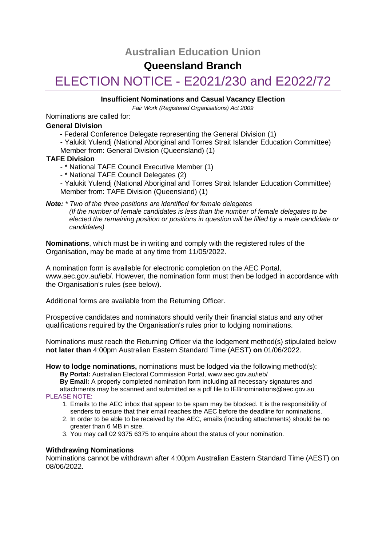# **Australian Education Union**

# **Queensland Branch**

# ELECTION NOTICE - E2021/230 and E2022/72

## **Insufficient Nominations and Casual Vacancy Election**

*Fair Work (Registered Organisations) Act 2009*

Nominations are called for:

## **General Division**

- Federal Conference Delegate representing the General Division (1)
- Yalukit Yulendj (National Aboriginal and Torres Strait Islander Education Committee)
- Member from: General Division (Queensland) (1)

# **TAFE Division**

- \* National TAFE Council Executive Member (1)
- \* National TAFE Council Delegates (2)

- Yalukit Yulendj (National Aboriginal and Torres Strait Islander Education Committee) Member from: TAFE Division (Queensland) (1)

#### *Note: \* Two of the three positions are identified for female delegates (If the number of female candidates is less than the number of female delegates to be elected the remaining position or positions in question will be filled by a male candidate or candidates)*

**Nominations**, which must be in writing and comply with the registered rules of the Organisation, may be made at any time from 11/05/2022.

A nomination form is available for electronic completion on the AEC Portal, www.aec.gov.au/ieb/. However, the nomination form must then be lodged in accordance with the Organisation's rules (see below).

Additional forms are available from the Returning Officer.

Prospective candidates and nominators should verify their financial status and any other qualifications required by the Organisation's rules prior to lodging nominations.

Nominations must reach the Returning Officer via the lodgement method(s) stipulated below **not later than** 4:00pm Australian Eastern Standard Time (AEST) **on** 01/06/2022.

**How to lodge nominations,** nominations must be lodged via the following method(s):

- **By Portal:** Australian Electoral Commission Portal, www.aec.gov.au/ieb/
- **By Email:** A properly completed nomination form including all necessary signatures and
- attachments may be scanned and submitted as a pdf file to IEBnominations@aec.gov.au PLEASE NOTE:
	- 1. Emails to the AEC inbox that appear to be spam may be blocked. It is the responsibility of senders to ensure that their email reaches the AEC before the deadline for nominations.
	- 2. In order to be able to be received by the AEC, emails (including attachments) should be no greater than 6 MB in size.
	- 3. You may call 02 9375 6375 to enquire about the status of your nomination.

# **Withdrawing Nominations**

Nominations cannot be withdrawn after 4:00pm Australian Eastern Standard Time (AEST) on 08/06/2022.